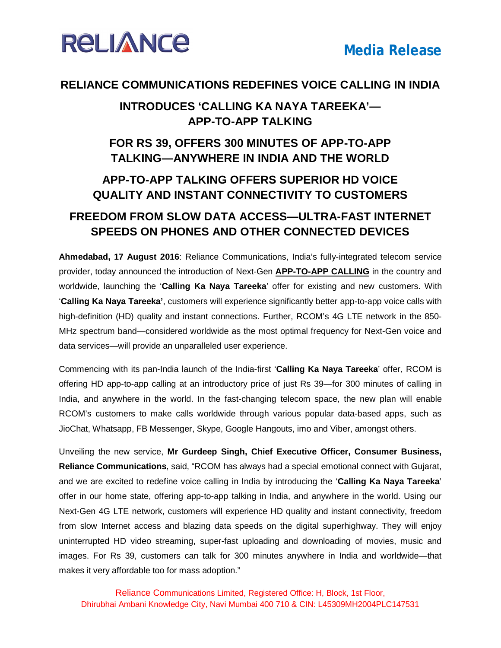

#### **RELIANCE COMMUNICATIONS REDEFINES VOICE CALLING IN INDIA**

#### **INTRODUCES 'CALLING KA NAYA TAREEKA'— APP-TO-APP TALKING**

### **FOR RS 39, OFFERS 300 MINUTES OF APP-TO-APP TALKING—ANYWHERE IN INDIA AND THE WORLD**

### **APP-TO-APP TALKING OFFERS SUPERIOR HD VOICE QUALITY AND INSTANT CONNECTIVITY TO CUSTOMERS**

#### **FREEDOM FROM SLOW DATA ACCESS—ULTRA-FAST INTERNET SPEEDS ON PHONES AND OTHER CONNECTED DEVICES**

**Ahmedabad, 17 August 2016**: Reliance Communications, India's fully-integrated telecom service provider, today announced the introduction of Next-Gen **APP-TO-APP CALLING** in the country and worldwide, launching the '**Calling Ka Naya Tareeka**' offer for existing and new customers. With '**Calling Ka Naya Tareeka'**, customers will experience significantly better app-to-app voice calls with high-definition (HD) quality and instant connections. Further, RCOM's 4G LTE network in the 850- MHz spectrum band—considered worldwide as the most optimal frequency for Next-Gen voice and data services—will provide an unparalleled user experience.

Commencing with its pan-India launch of the India-first '**Calling Ka Naya Tareeka**' offer, RCOM is offering HD app-to-app calling at an introductory price of just Rs 39—for 300 minutes of calling in India, and anywhere in the world. In the fast-changing telecom space, the new plan will enable RCOM's customers to make calls worldwide through various popular data-based apps, such as JioChat, Whatsapp, FB Messenger, Skype, Google Hangouts, imo and Viber, amongst others.

Unveiling the new service, **Mr Gurdeep Singh, Chief Executive Officer, Consumer Business, Reliance Communications**, said, "RCOM has always had a special emotional connect with Gujarat, and we are excited to redefine voice calling in India by introducing the '**Calling Ka Naya Tareeka**' offer in our home state, offering app-to-app talking in India, and anywhere in the world. Using our Next-Gen 4G LTE network, customers will experience HD quality and instant connectivity, freedom from slow Internet access and blazing data speeds on the digital superhighway. They will enjoy uninterrupted HD video streaming, super-fast uploading and downloading of movies, music and images. For Rs 39, customers can talk for 300 minutes anywhere in India and worldwide—that makes it very affordable too for mass adoption."

Reliance Communications Limited, Registered Office: H, Block, 1st Floor, Dhirubhai Ambani Knowledge City, Navi Mumbai 400 710 & CIN: L45309MH2004PLC147531